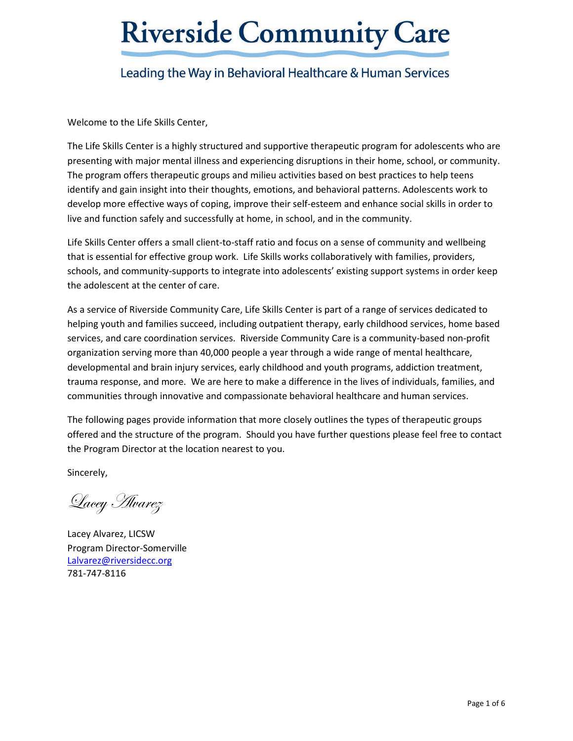## Leading the Way in Behavioral Healthcare & Human Services

Welcome to the Life Skills Center,

The Life Skills Center is a highly structured and supportive therapeutic program for adolescents who are presenting with major mental illness and experiencing disruptions in their home, school, or community. The program offers therapeutic groups and milieu activities based on best practices to help teens identify and gain insight into their thoughts, emotions, and behavioral patterns. Adolescents work to develop more effective ways of coping, improve their self-esteem and enhance social skills in order to live and function safely and successfully at home, in school, and in the community.

Life Skills Center offers a small client-to-staff ratio and focus on a sense of community and wellbeing that is essential for effective group work. Life Skills works collaboratively with families, providers, schools, and community-supports to integrate into adolescents' existing support systems in order keep the adolescent at the center of care.

As a service of Riverside Community Care, Life Skills Center is part of a range of services dedicated to helping youth and families succeed, including outpatient therapy, early childhood services, home based services, and care coordination services. Riverside Community Care is a community-based non-profit organization serving more than 40,000 people a year through a wide range of mental healthcare, developmental and brain injury services, early childhood and youth programs, addiction treatment, trauma response, and more. We are here to make a difference in the lives of individuals, families, and communities through innovative and compassionate behavioral healthcare and human services.

The following pages provide information that more closely outlines the types of therapeutic groups offered and the structure of the program. Should you have further questions please feel free to contact the Program Director at the location nearest to you.

Sincerely,

Lacey Alvarez

Lacey Alvarez, LICSW Program Director-Somerville [Lalvarez@riversidecc.org](mailto:Lalvarez@riversidecc.org) 781-747-8116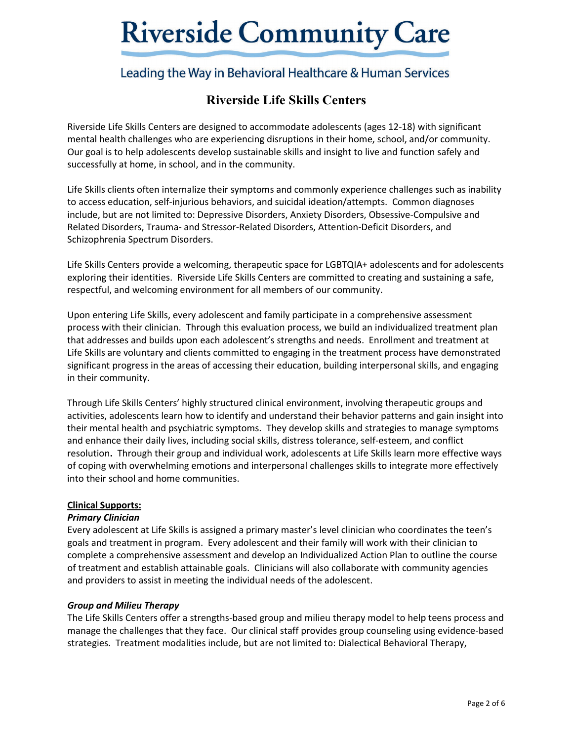## Leading the Way in Behavioral Healthcare & Human Services

## **Riverside Life Skills Centers**

Riverside Life Skills Centers are designed to accommodate adolescents (ages 12-18) with significant mental health challenges who are experiencing disruptions in their home, school, and/or community. Our goal is to help adolescents develop sustainable skills and insight to live and function safely and successfully at home, in school, and in the community.

Life Skills clients often internalize their symptoms and commonly experience challenges such as inability to access education, self-injurious behaviors, and suicidal ideation/attempts. Common diagnoses include, but are not limited to: Depressive Disorders, Anxiety Disorders, Obsessive-Compulsive and Related Disorders, Trauma- and Stressor-Related Disorders, Attention-Deficit Disorders, and Schizophrenia Spectrum Disorders.

Life Skills Centers provide a welcoming, therapeutic space for LGBTQIA+ adolescents and for adolescents exploring their identities. Riverside Life Skills Centers are committed to creating and sustaining a safe, respectful, and welcoming environment for all members of our community.

Upon entering Life Skills, every adolescent and family participate in a comprehensive assessment process with their clinician. Through this evaluation process, we build an individualized treatment plan that addresses and builds upon each adolescent's strengths and needs. Enrollment and treatment at Life Skills are voluntary and clients committed to engaging in the treatment process have demonstrated significant progress in the areas of accessing their education, building interpersonal skills, and engaging in their community.

Through Life Skills Centers' highly structured clinical environment, involving therapeutic groups and activities, adolescents learn how to identify and understand their behavior patterns and gain insight into their mental health and psychiatric symptoms. They develop skills and strategies to manage symptoms and enhance their daily lives, including social skills, distress tolerance, self-esteem, and conflict resolution**.** Through their group and individual work, adolescents at Life Skills learn more effective ways of coping with overwhelming emotions and interpersonal challenges skills to integrate more effectively into their school and home communities.

## **Clinical Supports:**

## *Primary Clinician*

Every adolescent at Life Skills is assigned a primary master's level clinician who coordinates the teen's goals and treatment in program. Every adolescent and their family will work with their clinician to complete a comprehensive assessment and develop an Individualized Action Plan to outline the course of treatment and establish attainable goals. Clinicians will also collaborate with community agencies and providers to assist in meeting the individual needs of the adolescent.

#### *Group and Milieu Therapy*

The Life Skills Centers offer a strengths-based group and milieu therapy model to help teens process and manage the challenges that they face. Our clinical staff provides group counseling using evidence-based strategies. Treatment modalities include, but are not limited to: Dialectical Behavioral Therapy,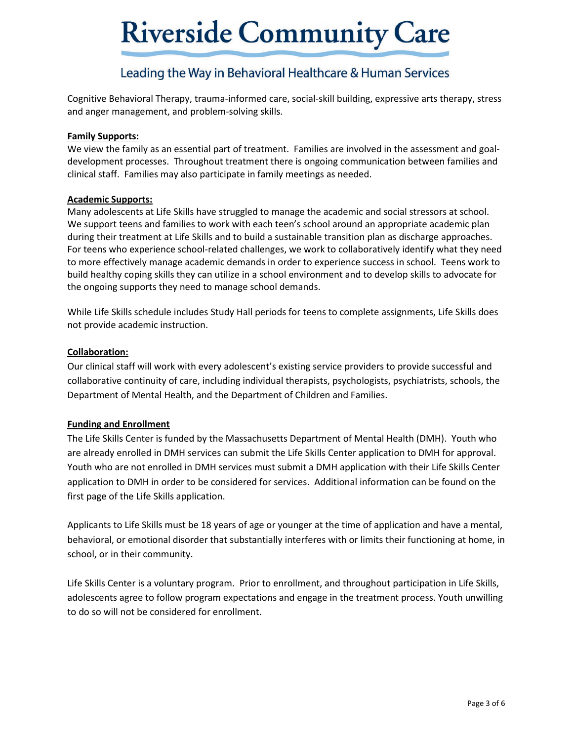## Leading the Way in Behavioral Healthcare & Human Services

Cognitive Behavioral Therapy, trauma-informed care, social-skill building, expressive arts therapy, stress and anger management, and problem-solving skills.

## **Family Supports:**

We view the family as an essential part of treatment. Families are involved in the assessment and goaldevelopment processes. Throughout treatment there is ongoing communication between families and clinical staff. Families may also participate in family meetings as needed.

## **Academic Supports:**

Many adolescents at Life Skills have struggled to manage the academic and social stressors at school. We support teens and families to work with each teen's school around an appropriate academic plan during their treatment at Life Skills and to build a sustainable transition plan as discharge approaches. For teens who experience school-related challenges, we work to collaboratively identify what they need to more effectively manage academic demands in order to experience success in school. Teens work to build healthy coping skills they can utilize in a school environment and to develop skills to advocate for the ongoing supports they need to manage school demands.

While Life Skills schedule includes Study Hall periods for teens to complete assignments, Life Skills does not provide academic instruction.

## **Collaboration:**

Our clinical staff will work with every adolescent's existing service providers to provide successful and collaborative continuity of care, including individual therapists, psychologists, psychiatrists, schools, the Department of Mental Health, and the Department of Children and Families.

## **Funding and Enrollment**

The Life Skills Center is funded by the Massachusetts Department of Mental Health (DMH). Youth who are already enrolled in DMH services can submit the Life Skills Center application to DMH for approval. Youth who are not enrolled in DMH services must submit a DMH application with their Life Skills Center application to DMH in order to be considered for services. Additional information can be found on the first page of the Life Skills application.

Applicants to Life Skills must be 18 years of age or younger at the time of application and have a mental, behavioral, or emotional disorder that substantially interferes with or limits their functioning at home, in school, or in their community.

Life Skills Center is a voluntary program. Prior to enrollment, and throughout participation in Life Skills, adolescents agree to follow program expectations and engage in the treatment process. Youth unwilling to do so will not be considered for enrollment.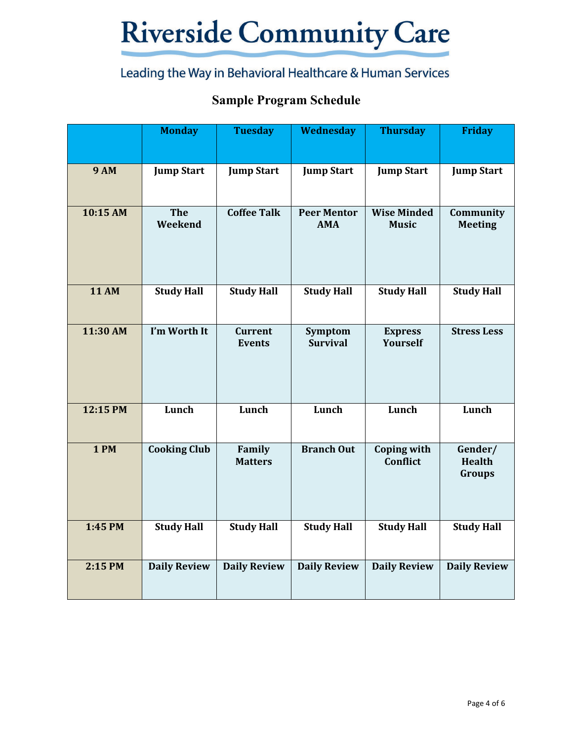# Leading the Way in Behavioral Healthcare & Human Services

## **Sample Program Schedule**

|              | <b>Monday</b>         | <b>Tuesday</b>                  | Wednesday                        | <b>Thursday</b>                    | <b>Friday</b>                             |
|--------------|-----------------------|---------------------------------|----------------------------------|------------------------------------|-------------------------------------------|
| <b>9 AM</b>  | <b>Jump Start</b>     | <b>Jump Start</b>               | <b>Jump Start</b>                | <b>Jump Start</b>                  | <b>Jump Start</b>                         |
| 10:15 AM     | <b>The</b><br>Weekend | <b>Coffee Talk</b>              | <b>Peer Mentor</b><br><b>AMA</b> | <b>Wise Minded</b><br><b>Music</b> | Community<br><b>Meeting</b>               |
| <b>11 AM</b> | <b>Study Hall</b>     | <b>Study Hall</b>               | <b>Study Hall</b>                | <b>Study Hall</b>                  | <b>Study Hall</b>                         |
| 11:30 AM     | I'm Worth It          | <b>Current</b><br><b>Events</b> | Symptom<br><b>Survival</b>       | <b>Express</b><br>Yourself         | <b>Stress Less</b>                        |
| 12:15 PM     | Lunch                 | Lunch                           | Lunch                            | Lunch                              | Lunch                                     |
| <b>1 PM</b>  | <b>Cooking Club</b>   | Family<br><b>Matters</b>        | <b>Branch Out</b>                | <b>Coping with</b><br>Conflict     | Gender/<br><b>Health</b><br><b>Groups</b> |
| 1:45 PM      | <b>Study Hall</b>     | <b>Study Hall</b>               | <b>Study Hall</b>                | <b>Study Hall</b>                  | <b>Study Hall</b>                         |
| 2:15 PM      | <b>Daily Review</b>   | <b>Daily Review</b>             | <b>Daily Review</b>              | <b>Daily Review</b>                | <b>Daily Review</b>                       |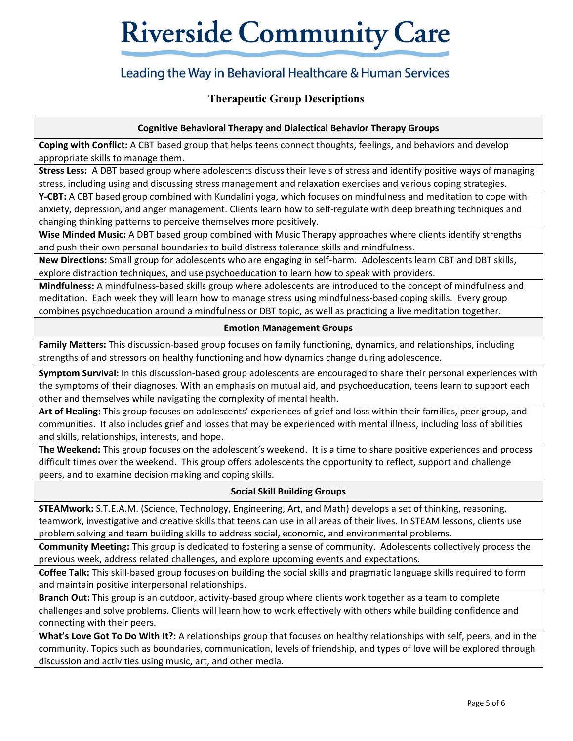## Leading the Way in Behavioral Healthcare & Human Services

## **Therapeutic Group Descriptions**

## **Cognitive Behavioral Therapy and Dialectical Behavior Therapy Groups**

**Coping with Conflict:** A CBT based group that helps teens connect thoughts, feelings, and behaviors and develop appropriate skills to manage them.

**Stress Less:** A DBT based group where adolescents discuss their levels of stress and identify positive ways of managing stress, including using and discussing stress management and relaxation exercises and various coping strategies.

**Y-CBT:** A CBT based group combined with Kundalini yoga, which focuses on mindfulness and meditation to cope with anxiety, depression, and anger management. Clients learn how to self-regulate with deep breathing techniques and changing thinking patterns to perceive themselves more positively.

**Wise Minded Music:** A DBT based group combined with Music Therapy approaches where clients identify strengths and push their own personal boundaries to build distress tolerance skills and mindfulness.

**New Directions:** Small group for adolescents who are engaging in self-harm. Adolescents learn CBT and DBT skills, explore distraction techniques, and use psychoeducation to learn how to speak with providers.

**Mindfulness:** A mindfulness-based skills group where adolescents are introduced to the concept of mindfulness and meditation. Each week they will learn how to manage stress using mindfulness-based coping skills. Every group combines psychoeducation around a mindfulness or DBT topic, as well as practicing a live meditation together.

## **Emotion Management Groups**

**Family Matters:** This discussion-based group focuses on family functioning, dynamics, and relationships, including strengths of and stressors on healthy functioning and how dynamics change during adolescence.

**Symptom Survival:** In this discussion-based group adolescents are encouraged to share their personal experiences with the symptoms of their diagnoses. With an emphasis on mutual aid, and psychoeducation, teens learn to support each other and themselves while navigating the complexity of mental health.

**Art of Healing:** This group focuses on adolescents' experiences of grief and loss within their families, peer group, and communities. It also includes grief and losses that may be experienced with mental illness, including loss of abilities and skills, relationships, interests, and hope.

**The Weekend:** This group focuses on the adolescent's weekend. It is a time to share positive experiences and process difficult times over the weekend. This group offers adolescents the opportunity to reflect, support and challenge peers, and to examine decision making and coping skills.

## **Social Skill Building Groups**

**STEAMwork:** S.T.E.A.M. (Science, Technology, Engineering, Art, and Math) develops a set of thinking, reasoning, teamwork, investigative and creative skills that teens can use in all areas of their lives. In STEAM lessons, clients use problem solving and team building skills to address social, economic, and environmental problems.

**Community Meeting:** This group is dedicated to fostering a sense of community. Adolescents collectively process the previous week, address related challenges, and explore upcoming events and expectations.

**Coffee Talk:** This skill-based group focuses on building the social skills and pragmatic language skills required to form and maintain positive interpersonal relationships.

**Branch Out:** This group is an outdoor, activity-based group where clients work together as a team to complete challenges and solve problems. Clients will learn how to work effectively with others while building confidence and connecting with their peers.

**What's Love Got To Do With It?:** A relationships group that focuses on healthy relationships with self, peers, and in the community. Topics such as boundaries, communication, levels of friendship, and types of love will be explored through discussion and activities using music, art, and other media.